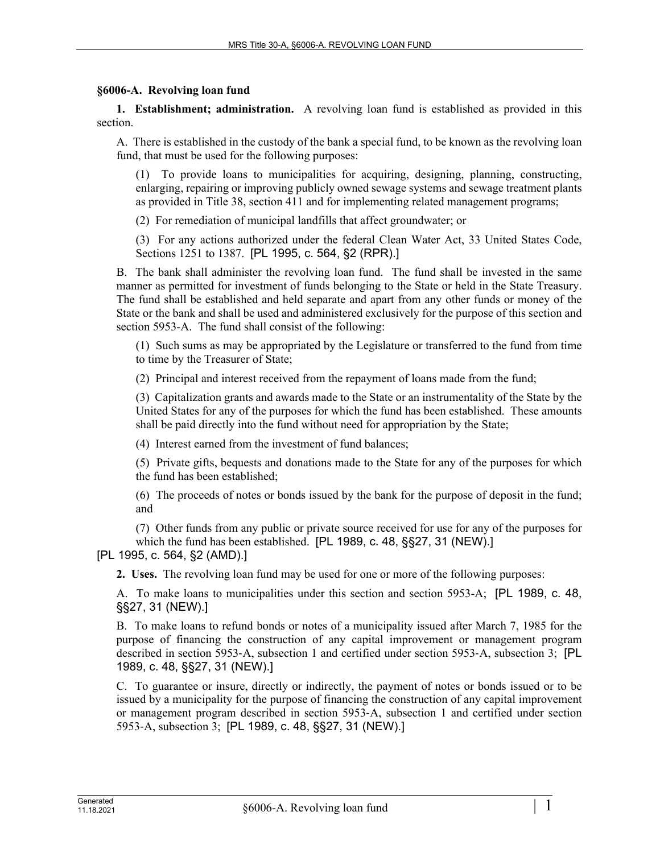## **§6006-A. Revolving loan fund**

**1. Establishment; administration.** A revolving loan fund is established as provided in this section.

A. There is established in the custody of the bank a special fund, to be known as the revolving loan fund, that must be used for the following purposes:

(1) To provide loans to municipalities for acquiring, designing, planning, constructing, enlarging, repairing or improving publicly owned sewage systems and sewage treatment plants as provided in Title 38, section 411 and for implementing related management programs;

(2) For remediation of municipal landfills that affect groundwater; or

(3) For any actions authorized under the federal Clean Water Act, 33 United States Code, Sections 1251 to 1387. [PL 1995, c. 564, §2 (RPR).]

B. The bank shall administer the revolving loan fund. The fund shall be invested in the same manner as permitted for investment of funds belonging to the State or held in the State Treasury. The fund shall be established and held separate and apart from any other funds or money of the State or the bank and shall be used and administered exclusively for the purpose of this section and section 5953-A. The fund shall consist of the following:

(1) Such sums as may be appropriated by the Legislature or transferred to the fund from time to time by the Treasurer of State;

(2) Principal and interest received from the repayment of loans made from the fund;

(3) Capitalization grants and awards made to the State or an instrumentality of the State by the United States for any of the purposes for which the fund has been established. These amounts shall be paid directly into the fund without need for appropriation by the State;

(4) Interest earned from the investment of fund balances;

(5) Private gifts, bequests and donations made to the State for any of the purposes for which the fund has been established;

(6) The proceeds of notes or bonds issued by the bank for the purpose of deposit in the fund; and

(7) Other funds from any public or private source received for use for any of the purposes for which the fund has been established. [PL 1989, c. 48, §§27, 31 (NEW).]

[PL 1995, c. 564, §2 (AMD).]

**2. Uses.** The revolving loan fund may be used for one or more of the following purposes:

A. To make loans to municipalities under this section and section 5953-A; [PL 1989, c. 48, §§27, 31 (NEW).]

B. To make loans to refund bonds or notes of a municipality issued after March 7, 1985 for the purpose of financing the construction of any capital improvement or management program described in section 5953‑A, subsection 1 and certified under section 5953‑A, subsection 3; [PL 1989, c. 48, §§27, 31 (NEW).]

C. To guarantee or insure, directly or indirectly, the payment of notes or bonds issued or to be issued by a municipality for the purpose of financing the construction of any capital improvement or management program described in section 5953‑A, subsection 1 and certified under section 5953‑A, subsection 3; [PL 1989, c. 48, §§27, 31 (NEW).]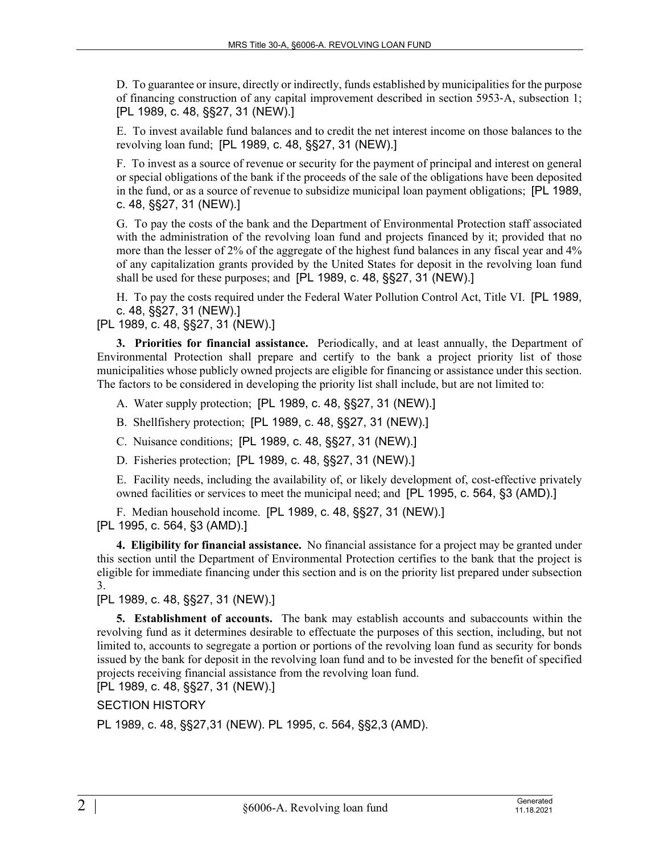D. To guarantee or insure, directly or indirectly, funds established by municipalities for the purpose of financing construction of any capital improvement described in section 5953‑A, subsection 1; [PL 1989, c. 48, §§27, 31 (NEW).]

E. To invest available fund balances and to credit the net interest income on those balances to the revolving loan fund; [PL 1989, c. 48, §§27, 31 (NEW).]

F. To invest as a source of revenue or security for the payment of principal and interest on general or special obligations of the bank if the proceeds of the sale of the obligations have been deposited in the fund, or as a source of revenue to subsidize municipal loan payment obligations; [PL 1989, c. 48, §§27, 31 (NEW).]

G. To pay the costs of the bank and the Department of Environmental Protection staff associated with the administration of the revolving loan fund and projects financed by it; provided that no more than the lesser of 2% of the aggregate of the highest fund balances in any fiscal year and 4% of any capitalization grants provided by the United States for deposit in the revolving loan fund shall be used for these purposes; and [PL 1989, c. 48, §§27, 31 (NEW).]

H. To pay the costs required under the Federal Water Pollution Control Act, Title VI. [PL 1989, c. 48, §§27, 31 (NEW).]

[PL 1989, c. 48, §§27, 31 (NEW).]

**3. Priorities for financial assistance.** Periodically, and at least annually, the Department of Environmental Protection shall prepare and certify to the bank a project priority list of those municipalities whose publicly owned projects are eligible for financing or assistance under this section. The factors to be considered in developing the priority list shall include, but are not limited to:

A. Water supply protection; [PL 1989, c. 48, §§27, 31 (NEW).]

B. Shellfishery protection; [PL 1989, c. 48, §§27, 31 (NEW).]

C. Nuisance conditions; [PL 1989, c. 48, §§27, 31 (NEW).]

D. Fisheries protection; [PL 1989, c. 48, §§27, 31 (NEW).]

E. Facility needs, including the availability of, or likely development of, cost-effective privately owned facilities or services to meet the municipal need; and [PL 1995, c. 564, §3 (AMD).]

F. Median household income. [PL 1989, c. 48, §§27, 31 (NEW).] [PL 1995, c. 564, §3 (AMD).]

**4. Eligibility for financial assistance.** No financial assistance for a project may be granted under this section until the Department of Environmental Protection certifies to the bank that the project is eligible for immediate financing under this section and is on the priority list prepared under subsection 3.

[PL 1989, c. 48, §§27, 31 (NEW).]

**5. Establishment of accounts.** The bank may establish accounts and subaccounts within the revolving fund as it determines desirable to effectuate the purposes of this section, including, but not limited to, accounts to segregate a portion or portions of the revolving loan fund as security for bonds issued by the bank for deposit in the revolving loan fund and to be invested for the benefit of specified projects receiving financial assistance from the revolving loan fund.

[PL 1989, c. 48, §§27, 31 (NEW).]

SECTION HISTORY

PL 1989, c. 48, §§27,31 (NEW). PL 1995, c. 564, §§2,3 (AMD).